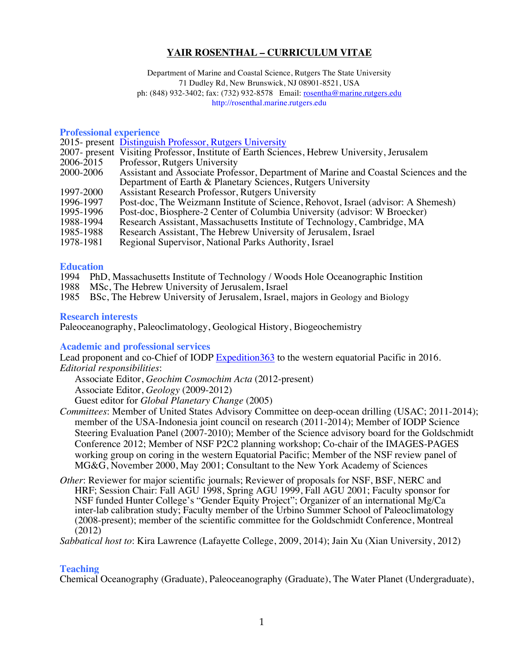# **YAIR ROSENTHAL – CURRICULUM VITAE**

Department of Marine and Coastal Science, Rutgers The State University 71 Dudley Rd, New Brunswick, NJ 08901-8521, USA ph: (848) 932-3402; fax: (732) 932-8578 Email: rosentha@marine.rutgers.edu http://rosenthal.marine.rutgers.edu

### **Professional experience**

|           | 2015- present Distinguish Professor, Rutgers University                                     |
|-----------|---------------------------------------------------------------------------------------------|
|           | 2007- present Visiting Professor, Institute of Earth Sciences, Hebrew University, Jerusalem |
| 2006-2015 | Professor, Rutgers University                                                               |
| 2000-2006 | Assistant and Associate Professor, Department of Marine and Coastal Sciences and the        |
|           | Department of Earth & Planetary Sciences, Rutgers University                                |
| 1997-2000 | Assistant Research Professor, Rutgers University                                            |
| 1996-1997 | Post-doc, The Weizmann Institute of Science, Rehovot, Israel (advisor: A Shemesh)           |
| 1995-1996 | Post-doc, Biosphere-2 Center of Columbia University (advisor: W Broecker)                   |
| 1988-1994 | Research Assistant, Massachusetts Institute of Technology, Cambridge, MA                    |
| 1985-1988 | Research Assistant, The Hebrew University of Jerusalem, Israel                              |
| 1978-1981 | Regional Supervisor, National Parks Authority, Israel                                       |
|           |                                                                                             |

### **Education**

- 1994 PhD, Massachusetts Institute of Technology / Woods Hole Oceanographic Instition
- 1988 MSc, The Hebrew University of Jerusalem, Israel 1985 BSc, The Hebrew University of Jerusalem, Israel,
- 1985 BSc, The Hebrew University of Jerusalem, Israel, majors in Geology and Biology

### **Research interests**

Paleoceanography, Paleoclimatology, Geological History, Biogeochemistry

# **Academic and professional services**

Lead proponent and co-Chief of IODP Expedition363 to the western equatorial Pacific in 2016. *Editorial responsibilities*:

Associate Editor, *Geochim Cosmochim Acta* (2012-present) Associate Editor, *Geology* (2009-2012) Guest editor for *Global Planetary Change* (2005)

- *Committees*: Member of United States Advisory Committee on deep-ocean drilling (USAC; 2011-2014); member of the USA-Indonesia joint council on research (2011-2014); Member of IODP Science Steering Evaluation Panel (2007-2010); Member of the Science advisory board for the Goldschmidt Conference 2012; Member of NSF P2C2 planning workshop; Co-chair of the IMAGES-PAGES working group on coring in the western Equatorial Pacific; Member of the NSF review panel of MG&G, November 2000, May 2001; Consultant to the New York Academy of Sciences
- *Other*: Reviewer for major scientific journals; Reviewer of proposals for NSF, BSF, NERC and HRF; Session Chair: Fall AGU 1998, Spring AGU 1999, Fall AGU 2001; Faculty sponsor for NSF funded Hunter College's "Gender Equity Project"; Organizer of an international Mg/Ca inter-lab calibration study; Faculty member of the Urbino Summer School of Paleoclimatology (2008-present); member of the scientific committee for the Goldschmidt Conference, Montreal  $(2012)$

*Sabbatical host to*: Kira Lawrence (Lafayette College, 2009, 2014); Jain Xu (Xian University, 2012)

# **Teaching**

Chemical Oceanography (Graduate), Paleoceanography (Graduate), The Water Planet (Undergraduate),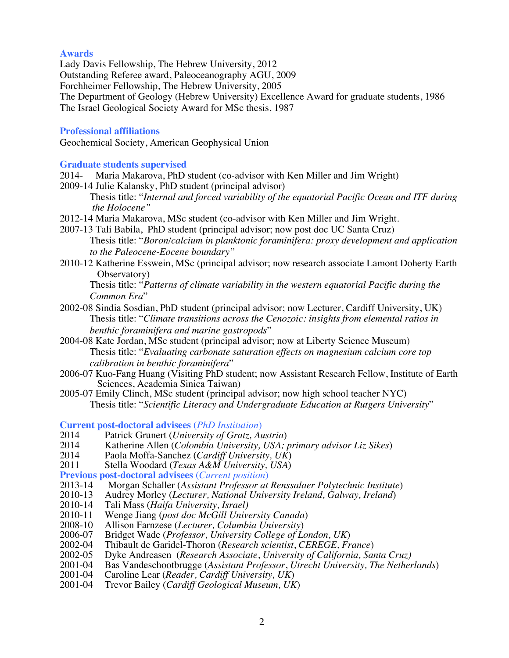### **Awards**

Lady Davis Fellowship, The Hebrew University, 2012 Outstanding Referee award, Paleoceanography AGU, 2009 Forchheimer Fellowship, The Hebrew University, 2005 The Department of Geology (Hebrew University) Excellence Award for graduate students, 1986 The Israel Geological Society Award for MSc thesis, 1987

### **Professional affiliations**

Geochemical Society, American Geophysical Union

## **Graduate students supervised**

- 2014- Maria Makarova, PhD student (co-advisor with Ken Miller and Jim Wright)
- 2009-14 Julie Kalansky, PhD student (principal advisor) Thesis title: "*Internal and forced variability of the equatorial Pacific Ocean and ITF during the Holocene"*
- 2012-14 Maria Makarova, MSc student (co-advisor with Ken Miller and Jim Wright.
- 2007-13 Tali Babila, PhD student (principal advisor; now post doc UC Santa Cruz) Thesis title: "*Boron/calcium in planktonic foraminifera: proxy development and application to the Paleocene-Eocene boundary"*
- 2010-12 Katherine Esswein, MSc (principal advisor; now research associate Lamont Doherty Earth Observatory)

Thesis title: "*Patterns of climate variability in the western equatorial Pacific during the Common Era*"

- 2002-08 Sindia Sosdian, PhD student (principal advisor; now Lecturer, Cardiff University, UK) Thesis title: "*Climate transitions across the Cenozoic: insights from elemental ratios in benthic foraminifera and marine gastropods*"
- 2004-08 Kate Jordan, MSc student (principal advisor; now at Liberty Science Museum) Thesis title: "*Evaluating carbonate saturation effects on magnesium calcium core top calibration in benthic foraminifera*"
- 2006-07 Kuo-Fang Huang (Visiting PhD student; now Assistant Research Fellow, Institute of Earth Sciences, Academia Sinica Taiwan)
- 2005-07 Emily Clinch, MSc student (principal advisor; now high school teacher NYC) Thesis title: "*Scientific Literacy and Undergraduate Education at Rutgers University*"

**Current post-doctoral advisees** (*PhD Institution*)

- 2014 Patrick Grunert (*University of Gratz, Austria*)
- 2014 Katherine Allen (*Colombia University, USA; primary advisor Liz Sikes*)
- 2014 Paola Moffa-Sanchez (*Cardiff University, UK*)
- Stella Woodard (*Texas A&M University*, *USA*)
- **Previous post-doctoral advisees** (*Current position*)
- 2013-14 Morgan Schaller (*Assistant Professor at Renssalaer Polytechnic Institute*)<br>2010-13 Audrey Morley (*Lecturer, National University Ireland, Galway, Ireland*)
- 2010-13 Audrey Morley (*Lecturer, National University Ireland, Galway, Ireland*)
- 2010-14 Tali Mass (*Haifa University, Israel)*
- 2010-11 Wenge Jiang (*post doc McGill University Canada*)
- 2008-10 Allison Farnzese (*Lecturer, Columbia University*)
- 2006-07 Bridget Wade (*Professor, University College of London, UK*)
- 2002-04 Thibault de Garidel-Thoron (*Research scientist*, *CEREGE, France*)
- 2002-05 Dyke Andreasen (*Research Associate*, *University of California, Santa Cruz)*
- 2001-04 Bas Vandeschootbrugge (*Assistant Professor*, *Utrecht University, The Netherlands*)
- 2001-04 Caroline Lear (*Reader, Cardiff University, UK*)
- 2001-04 Trevor Bailey (*Cardiff Geological Museum, UK*)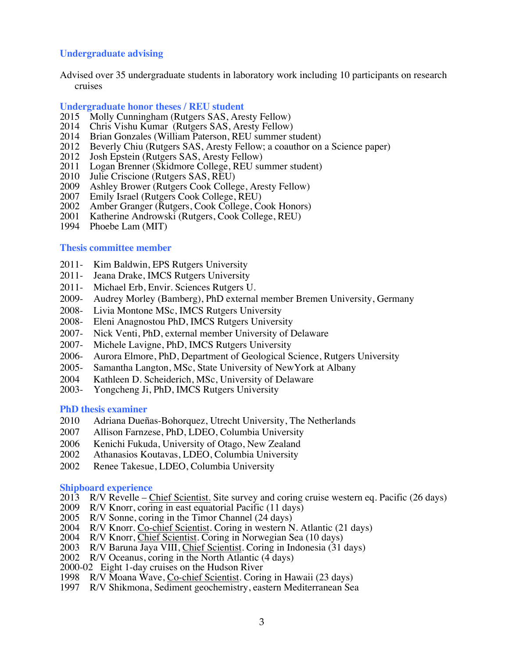# **Undergraduate advising**

Advised over 35 undergraduate students in laboratory work including 10 participants on research cruises

#### **Undergraduate honor theses / REU student**

- 2015 Molly Cunningham (Rutgers SAS, Aresty Fellow)
- 2014 Chris Vishu Kumar (Rutgers SAS, Aresty Fellow)
- 2014 Brian Gonzales (William Paterson, REU summer student)
- 2012 Beverly Chiu (Rutgers SAS, Aresty Fellow; a coauthor on a Science paper)<br>2012 Josh Epstein (Rutgers SAS, Aresty Fellow)
- 2012 Josh Epstein (Rutgers SAS, Aresty Fellow)<br>2011 Logan Brenner (Skidmore College, REU su
- 2011 Logan Brenner (Skidmore College, REU summer student)<br>2010 Julie Criscione (Rutgers SAS, REU)
- 2010 Julie Criscione (Rutgers SAS, REU)<br>2009 Ashley Brower (Rutgers Cook Colles
- Ashley Brower (Rutgers Cook College, Aresty Fellow)
- 2007 Emily Israel (Rutgers Cook College, REU)
- 2002 Amber Granger (Rutgers, Cook College, Cook Honors)<br>2001 Katherine Androwski (Rutgers, Cook College, REU)
- Katherine Androwski (Rutgers, Cook College, REU)
- 1994 Phoebe Lam (MIT)

#### **Thesis committee member**

- 2011- Kim Baldwin, EPS Rutgers University
- 2011- Jeana Drake, IMCS Rutgers University
- 2011- Michael Erb, Envir. Sciences Rutgers U.
- 2009- Audrey Morley (Bamberg), PhD external member Bremen University, Germany
- 2008- Livia Montone MSc, IMCS Rutgers University
- 2008- Eleni Anagnostou PhD, IMCS Rutgers University
- 2007- Nick Venti, PhD, external member University of Delaware
- 2007- Michele Lavigne, PhD, IMCS Rutgers University
- 2006- Aurora Elmore, PhD, Department of Geological Science, Rutgers University
- 2005- Samantha Langton, MSc, State University of NewYork at Albany
- 2004 Kathleen D. Scheiderich, MSc, University of Delaware<br>2003- Yongcheng Ji, PhD, IMCS Rutgers University
- Yongcheng Ji, PhD, IMCS Rutgers University

#### **PhD thesis examiner**

- 2010 Adriana Dueñas-Bohorquez, Utrecht University, The Netherlands
- 2007 Allison Farnzese, PhD, LDEO, Columbia University
- 2006 Kenichi Fukuda, University of Otago, New Zealand
- 2002 Athanasios Koutavas, LDEO, Columbia University
- 2002 Renee Takesue, LDEO, Columbia University

#### **Shipboard experience**

- 2013 R/V Revelle Chief Scientist. Site survey and coring cruise western eq. Pacific (26 days)
- 2009 R/V Knorr, coring in east equatorial Pacific (11 days)
- 2005 R/V Sonne, coring in the Timor Channel (24 days)
- 2004 R/V Knorr. Co-chief Scientist. Coring in western N. Atlantic (21 days)
- 2004 R/V Knorr, Chief Scientist. Coring in Norwegian Sea (10 days)
- 2003 R/V Baruna Jaya VIII, Chief Scientist. Coring in Indonesia (31 days)
- 2002 R/V Oceanus, coring in the North Atlantic (4 days)
- 2000-02 Eight 1-day cruises on the Hudson River
- 1998 R/V Moana Wave, Co-chief Scientist. Coring in Hawaii (23 days)
- 1997 R/V Shikmona, Sediment geochemistry, eastern Mediterranean Sea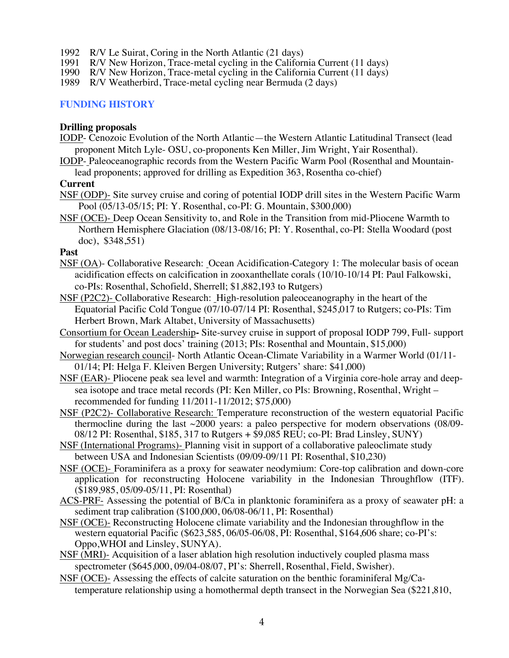- 1992 R/V Le Suirat, Coring in the North Atlantic (21 days)<br>1991 R/V New Horizon, Trace-metal cycling in the Californ
- R/V New Horizon, Trace-metal cycling in the California Current (11 days)
- 1990 R/V New Horizon, Trace-metal cycling in the California Current (11 days) R/V Weatherbird, Trace-metal cycling near Bermuda (2 days)
- R/V Weatherbird, Trace-metal cycling near Bermuda (2 days)

# **FUNDING HISTORY**

### **Drilling proposals**

- IODP- Cenozoic Evolution of the North Atlantic—the Western Atlantic Latitudinal Transect (lead proponent Mitch Lyle- OSU, co-proponents Ken Miller, Jim Wright, Yair Rosenthal).
- IODP- Paleoceanographic records from the Western Pacific Warm Pool (Rosenthal and Mountainlead proponents; approved for drilling as Expedition 363, Rosentha co-chief)

## **Current**

- NSF (ODP)- Site survey cruise and coring of potential IODP drill sites in the Western Pacific Warm Pool (05/13-05/15; PI: Y. Rosenthal, co-PI: G. Mountain, \$300,000)
- NSF (OCE)- Deep Ocean Sensitivity to, and Role in the Transition from mid-Pliocene Warmth to Northern Hemisphere Glaciation (08/13-08/16; PI: Y. Rosenthal, co-PI: Stella Woodard (post doc), \$348,551)

### **Past**

- NSF (OA)- Collaborative Research: Ocean Acidification-Category 1: The molecular basis of ocean acidification effects on calcification in zooxanthellate corals (10/10-10/14 PI: Paul Falkowski, co-PIs: Rosenthal, Schofield, Sherrell; \$1,882,193 to Rutgers)
- NSF (P2C2)- Collaborative Research: High-resolution paleoceanography in the heart of the Equatorial Pacific Cold Tongue (07/10-07/14 PI: Rosenthal, \$245,017 to Rutgers; co-PIs: Tim Herbert Brown, Mark Altabet, University of Massachusetts)
- Consortium for Ocean Leadership**-** Site-survey cruise in support of proposal IODP 799, Full- support for students' and post docs' training (2013; PIs: Rosenthal and Mountain, \$15,000)
- Norwegian research council- North Atlantic Ocean-Climate Variability in a Warmer World (01/11- 01/14; PI: Helga F. Kleiven Bergen University; Rutgers' share: \$41,000)
- NSF (EAR)- Pliocene peak sea level and warmth: Integration of a Virginia core-hole array and deepsea isotope and trace metal records (PI: Ken Miller, co PIs: Browning, Rosenthal, Wright – recommended for funding 11/2011-11/2012; \$75,000)
- NSF (P2C2)- Collaborative Research: Temperature reconstruction of the western equatorial Pacific thermocline during the last  $\sim$ 2000 years: a paleo perspective for modern observations (08/09-08/12 PI: Rosenthal, \$185, 317 to Rutgers  $+$  \$9,085 REU; co-PI: Brad Linsley, SUNY)
- NSF (International Programs)- Planning visit in support of a collaborative paleoclimate study between USA and Indonesian Scientists (09/09-09/11 PI: Rosenthal, \$10,230)
- NSF (OCE)- Foraminifera as a proxy for seawater neodymium: Core-top calibration and down-core application for reconstructing Holocene variability in the Indonesian Throughflow (ITF). (\$189,985, 05/09-05/11, PI: Rosenthal)
- ACS-PRF- Assessing the potential of B/Ca in planktonic foraminifera as a proxy of seawater pH: a sediment trap calibration (\$100,000, 06/08-06/11, PI: Rosenthal)
- NSF (OCE)- Reconstructing Holocene climate variability and the Indonesian throughflow in the western equatorial Pacific (\$623,585, 06/05-06/08, PI: Rosenthal, \$164,606 share; co-PI's: Oppo,WHOI and Linsley, SUNYA).
- NSF (MRI)- Acquisition of a laser ablation high resolution inductively coupled plasma mass spectrometer (\$645,000, 09/04-08/07, PI's: Sherrell, Rosenthal, Field, Swisher).
- NSF (OCE)- Assessing the effects of calcite saturation on the benthic foraminiferal  $Mg/Ca$ temperature relationship using a homothermal depth transect in the Norwegian Sea (\$221,810,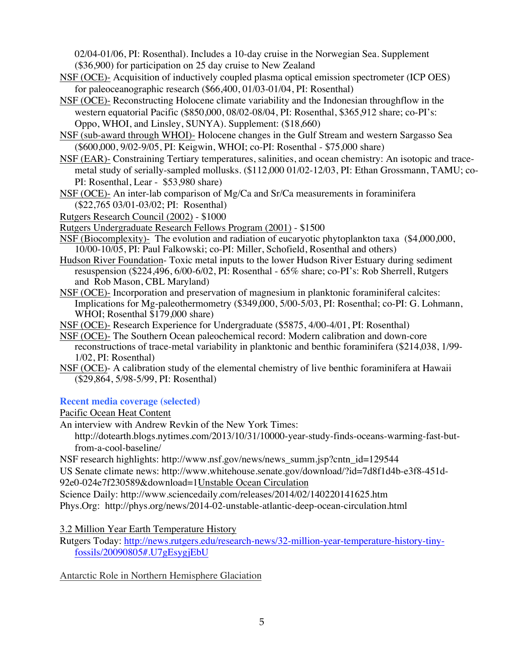02/04-01/06, PI: Rosenthal). Includes a 10-day cruise in the Norwegian Sea. Supplement (\$36,900) for participation on 25 day cruise to New Zealand

- NSF (OCE)- Acquisition of inductively coupled plasma optical emission spectrometer (ICP OES) for paleoceanographic research (\$66,400, 01/03-01/04, PI: Rosenthal)
- NSF (OCE)- Reconstructing Holocene climate variability and the Indonesian throughflow in the western equatorial Pacific (\$850,000, 08/02-08/04, PI: Rosenthal, \$365,912 share; co-PI's: Oppo, WHOI, and Linsley, SUNYA). Supplement: (\$18,660)
- NSF (sub-award through WHOI)- Holocene changes in the Gulf Stream and western Sargasso Sea (\$600,000, 9/02-9/05, PI: Keigwin, WHOI; co-PI: Rosenthal - \$75,000 share)
- NSF (EAR)- Constraining Tertiary temperatures, salinities, and ocean chemistry: An isotopic and tracemetal study of serially-sampled mollusks. (\$112,000 01/02-12/03, PI: Ethan Grossmann, TAMU; co-PI: Rosenthal, Lear - \$53,980 share)
- NSF (OCE)- An inter-lab comparison of  $Mg/Ca$  and  $Sr/Ca$  measurements in foraminifera (\$22,765 03/01-03/02; PI: Rosenthal)

Rutgers Research Council (2002) - \$1000

Rutgers Undergraduate Research Fellows Program (2001) - \$1500

- NSF (Biocomplexity)- The evolution and radiation of eucaryotic phytoplankton taxa (\$4,000,000, 10/00-10/05, PI: Paul Falkowski; co-PI: Miller, Schofield, Rosenthal and others)
- Hudson River Foundation- Toxic metal inputs to the lower Hudson River Estuary during sediment resuspension (\$224,496, 6/00-6/02, PI: Rosenthal - 65% share; co-PI's: Rob Sherrell, Rutgers and Rob Mason, CBL Maryland)
- NSF (OCE)- Incorporation and preservation of magnesium in planktonic foraminiferal calcites: Implications for Mg-paleothermometry (\$349,000, 5/00-5/03, PI: Rosenthal; co-PI: G. Lohmann, WHOI; Rosenthal \$179,000 share)
- NSF (OCE)- Research Experience for Undergraduate (\$5875, 4/00-4/01, PI: Rosenthal)
- NSF (OCE)- The Southern Ocean paleochemical record: Modern calibration and down-core reconstructions of trace-metal variability in planktonic and benthic foraminifera (\$214,038, 1/99- 1/02, PI: Rosenthal)
- NSF (OCE)- A calibration study of the elemental chemistry of live benthic foraminifera at Hawaii (\$29,864, 5/98-5/99, PI: Rosenthal)

# **Recent media coverage (selected)**

Pacific Ocean Heat Content

An interview with Andrew Revkin of the New York Times:

http://dotearth.blogs.nytimes.com/2013/10/31/10000-year-study-finds-oceans-warming-fast-butfrom-a-cool-baseline/

NSF research highlights: http://www.nsf.gov/news/news\_summ.jsp?cntn\_id=129544

US Senate climate news: http://www.whitehouse.senate.gov/download/?id=7d8f1d4b-e3f8-451d-

92e0-024e7f230589&download=1Unstable Ocean Circulation

Science Daily: http://www.sciencedaily.com/releases/2014/02/140220141625.htm

Phys.Org: http://phys.org/news/2014-02-unstable-atlantic-deep-ocean-circulation.html

3.2 Million Year Earth Temperature History

Rutgers Today: http://news.rutgers.edu/research-news/32-million-year-temperature-history-tinyfossils/20090805#.U7gEsygjEbU

# Antarctic Role in Northern Hemisphere Glaciation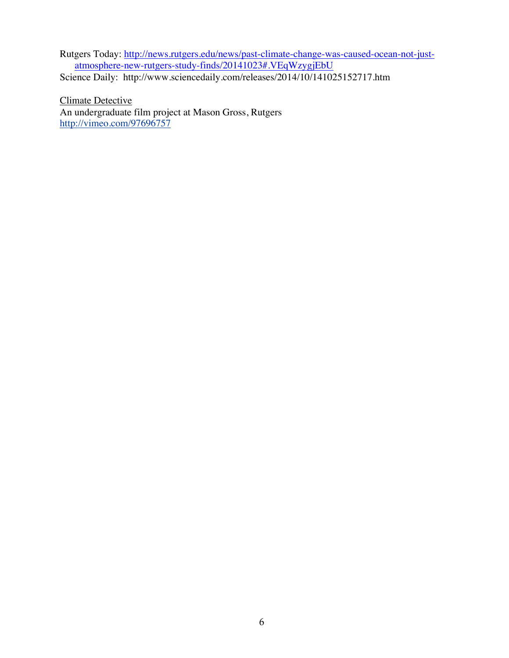Rutgers Today: http://news.rutgers.edu/news/past-climate-change-was-caused-ocean-not-justatmosphere-new-rutgers-study-finds/20141023#.VEqWzygjEbU

Science Daily: http://www.sciencedaily.com/releases/2014/10/141025152717.htm

Climate Detective An undergraduate film project at Mason Gross, Rutgers http://vimeo.com/97696757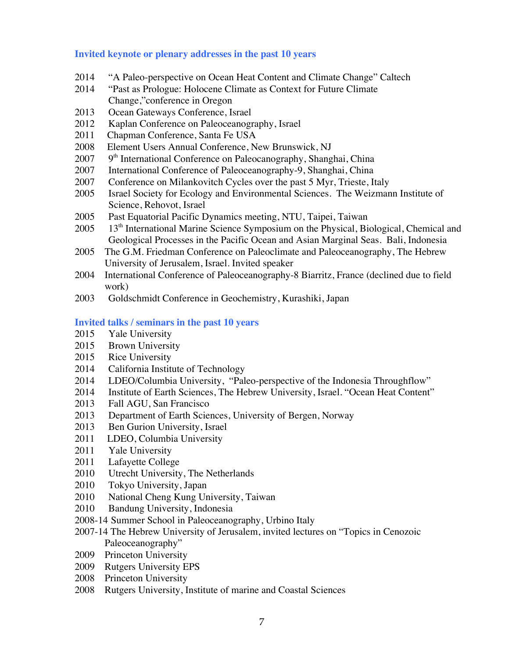# **Invited keynote or plenary addresses in the past 10 years**

- "A Paleo-perspective on Ocean Heat Content and Climate Change" Caltech
- "Past as Prologue: Holocene Climate as Context for Future Climate Change,"conference in Oregon
- Ocean Gateways Conference, Israel
- Kaplan Conference on Paleoceanography, Israel
- Chapman Conference, Santa Fe USA
- 2008 Element Users Annual Conference, New Brunswick, NJ 2007  $9<sup>th</sup>$  International Conference on Paleocanography, Shang
- $9<sup>th</sup>$  International Conference on Paleocanography, Shanghai, China
- International Conference of Paleoceanography-9, Shanghai, China
- 2007 Conference on Milankovitch Cycles over the past 5 Myr, Trieste, Italy
- Israel Society for Ecology and Environmental Sciences. The Weizmann Institute of Science, Rehovot, Israel
- Past Equatorial Pacific Dynamics meeting, NTU, Taipei, Taiwan
- 13th International Marine Science Symposium on the Physical, Biological, Chemical and Geological Processes in the Pacific Ocean and Asian Marginal Seas. Bali, Indonesia
- The G.M. Friedman Conference on Paleoclimate and Paleoceanography, The Hebrew University of Jerusalem, Israel. Invited speaker
- International Conference of Paleoceanography-8 Biarritz, France (declined due to field work)
- Goldschmidt Conference in Geochemistry, Kurashiki, Japan

## **Invited talks / seminars in the past 10 years**

- Yale University
- Brown University
- Rice University
- California Institute of Technology
- LDEO/Columbia University, "Paleo-perspective of the Indonesia Throughflow"
- Institute of Earth Sciences, The Hebrew University, Israel. "Ocean Heat Content"
- Fall AGU, San Francisco
- Department of Earth Sciences, University of Bergen, Norway
- Ben Gurion University, Israel
- LDEO, Columbia University
- Yale University
- Lafayette College
- Utrecht University, The Netherlands
- Tokyo University, Japan
- National Cheng Kung University, Taiwan
- Bandung University, Indonesia
- 2008-14 Summer School in Paleoceanography, Urbino Italy
- 2007-14 The Hebrew University of Jerusalem, invited lectures on "Topics in Cenozoic Paleoceanography"
- Princeton University
- Rutgers University EPS
- Princeton University
- Rutgers University, Institute of marine and Coastal Sciences